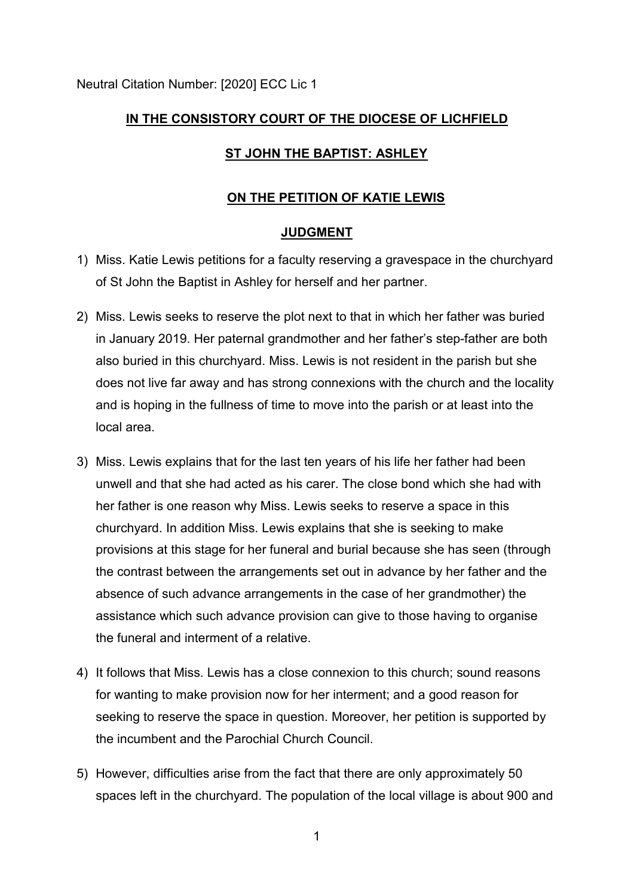# **IN THE CONSISTORY COURT OF THE DIOCESE OF LICHFIELD**

## **ST JOHN THE BAPTIST: ASHLEY**

### **ON THE PETITION OF KATIE LEWIS**

#### **JUDGMENT**

- 1) Miss. Katie Lewis petitions for a faculty reserving a gravespace in the churchyard of St John the Baptist in Ashley for herself and her partner.
- 2) Miss. Lewis seeks to reserve the plot next to that in which her father was buried in January 2019. Her paternal grandmother and her father's step-father are both also buried in this churchyard. Miss. Lewis is not resident in the parish but she does not live far away and has strong connexions with the church and the locality and is hoping in the fullness of time to move into the parish or at least into the local area.
- 3) Miss. Lewis explains that for the last ten years of his life her father had been unwell and that she had acted as his carer. The close bond which she had with her father is one reason why Miss. Lewis seeks to reserve a space in this churchyard. In addition Miss. Lewis explains that she is seeking to make provisions at this stage for her funeral and burial because she has seen (through the contrast between the arrangements set out in advance by her father and the absence of such advance arrangements in the case of her grandmother) the assistance which such advance provision can give to those having to organise the funeral and interment of a relative.
- 4) It follows that Miss. Lewis has a close connexion to this church; sound reasons for wanting to make provision now for her interment; and a good reason for seeking to reserve the space in question. Moreover, her petition is supported by the incumbent and the Parochial Church Council.
- 5) However, difficulties arise from the fact that there are only approximately 50 spaces left in the churchyard. The population of the local village is about 900 and

1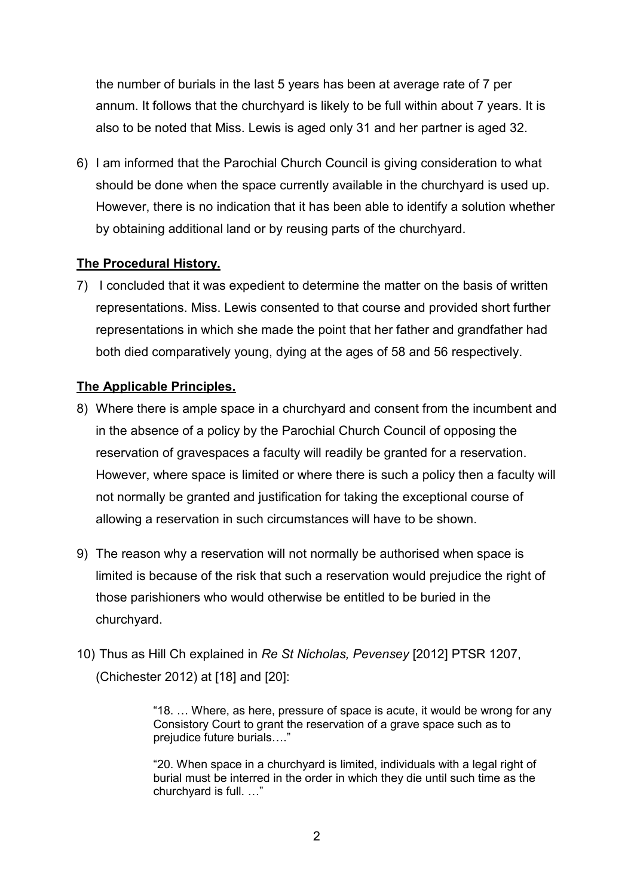the number of burials in the last 5 years has been at average rate of 7 per annum. It follows that the churchyard is likely to be full within about 7 years. It is also to be noted that Miss. Lewis is aged only 31 and her partner is aged 32.

6) I am informed that the Parochial Church Council is giving consideration to what should be done when the space currently available in the churchyard is used up. However, there is no indication that it has been able to identify a solution whether by obtaining additional land or by reusing parts of the churchyard.

## **The Procedural History.**

7) I concluded that it was expedient to determine the matter on the basis of written representations. Miss. Lewis consented to that course and provided short further representations in which she made the point that her father and grandfather had both died comparatively young, dying at the ages of 58 and 56 respectively.

## **The Applicable Principles.**

- 8) Where there is ample space in a churchyard and consent from the incumbent and in the absence of a policy by the Parochial Church Council of opposing the reservation of gravespaces a faculty will readily be granted for a reservation. However, where space is limited or where there is such a policy then a faculty will not normally be granted and justification for taking the exceptional course of allowing a reservation in such circumstances will have to be shown.
- 9) The reason why a reservation will not normally be authorised when space is limited is because of the risk that such a reservation would prejudice the right of those parishioners who would otherwise be entitled to be buried in the churchyard.
- 10) Thus as Hill Ch explained in *Re St Nicholas, Pevensey* [2012] PTSR 1207, (Chichester 2012) at [18] and [20]:

"18. … Where, as here, pressure of space is acute, it would be wrong for any Consistory Court to grant the reservation of a grave space such as to prejudice future burials…."

"20. When space in a churchyard is limited, individuals with a legal right of burial must be interred in the order in which they die until such time as the churchyard is full. …"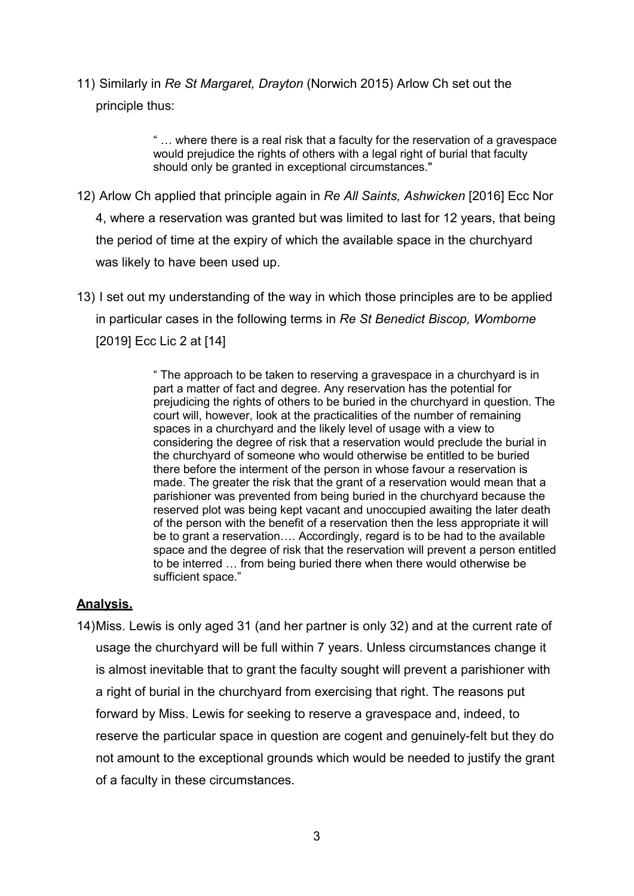11) Similarly in *Re St Margaret, Drayton* (Norwich 2015) Arlow Ch set out the principle thus:

> " … where there is a real risk that a faculty for the reservation of a gravespace would prejudice the rights of others with a legal right of burial that faculty should only be granted in exceptional circumstances."

- 12) Arlow Ch applied that principle again in *Re All Saints, Ashwicken* [2016] Ecc Nor 4, where a reservation was granted but was limited to last for 12 years, that being the period of time at the expiry of which the available space in the churchyard was likely to have been used up.
- 13) I set out my understanding of the way in which those principles are to be applied in particular cases in the following terms in *Re St Benedict Biscop, Womborne*  [2019] Ecc Lic 2 at [14]

" The approach to be taken to reserving a gravespace in a churchyard is in part a matter of fact and degree. Any reservation has the potential for prejudicing the rights of others to be buried in the churchyard in question. The court will, however, look at the practicalities of the number of remaining spaces in a churchyard and the likely level of usage with a view to considering the degree of risk that a reservation would preclude the burial in the churchyard of someone who would otherwise be entitled to be buried there before the interment of the person in whose favour a reservation is made. The greater the risk that the grant of a reservation would mean that a parishioner was prevented from being buried in the churchyard because the reserved plot was being kept vacant and unoccupied awaiting the later death of the person with the benefit of a reservation then the less appropriate it will be to grant a reservation…. Accordingly, regard is to be had to the available space and the degree of risk that the reservation will prevent a person entitled to be interred … from being buried there when there would otherwise be sufficient space."

### **Analysis.**

14) Miss. Lewis is only aged 31 (and her partner is only 32) and at the current rate of usage the churchyard will be full within 7 years. Unless circumstances change it is almost inevitable that to grant the faculty sought will prevent a parishioner with a right of burial in the churchyard from exercising that right. The reasons put forward by Miss. Lewis for seeking to reserve a gravespace and, indeed, to reserve the particular space in question are cogent and genuinely-felt but they do not amount to the exceptional grounds which would be needed to justify the grant of a faculty in these circumstances.